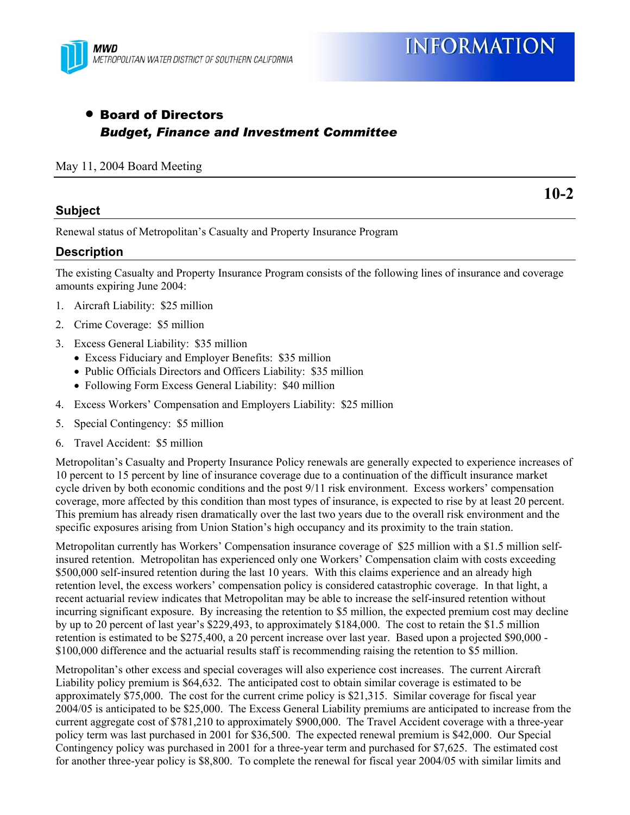# • Board of Directors *Budget, Finance and Investment Committee*

#### May 11, 2004 Board Meeting

### **Subject**

**10-2** 

Renewal status of Metropolitan's Casualty and Property Insurance Program

## **Description**

The existing Casualty and Property Insurance Program consists of the following lines of insurance and coverage amounts expiring June 2004:

- 1. Aircraft Liability: \$25 million
- 2. Crime Coverage: \$5 million
- 3. Excess General Liability: \$35 million
	- Excess Fiduciary and Employer Benefits: \$35 million
	- Public Officials Directors and Officers Liability: \$35 million
	- Following Form Excess General Liability: \$40 million
- 4. Excess Workers' Compensation and Employers Liability: \$25 million
- 5. Special Contingency: \$5 million
- 6. Travel Accident: \$5 million

Metropolitan's Casualty and Property Insurance Policy renewals are generally expected to experience increases of 10 percent to 15 percent by line of insurance coverage due to a continuation of the difficult insurance market cycle driven by both economic conditions and the post 9/11 risk environment. Excess workers' compensation coverage, more affected by this condition than most types of insurance, is expected to rise by at least 20 percent. This premium has already risen dramatically over the last two years due to the overall risk environment and the specific exposures arising from Union Station's high occupancy and its proximity to the train station.

Metropolitan currently has Workers' Compensation insurance coverage of \$25 million with a \$1.5 million selfinsured retention. Metropolitan has experienced only one Workers' Compensation claim with costs exceeding \$500,000 self-insured retention during the last 10 years. With this claims experience and an already high retention level, the excess workers' compensation policy is considered catastrophic coverage. In that light, a recent actuarial review indicates that Metropolitan may be able to increase the self-insured retention without incurring significant exposure. By increasing the retention to \$5 million, the expected premium cost may decline by up to 20 percent of last year's \$229,493, to approximately \$184,000. The cost to retain the \$1.5 million retention is estimated to be \$275,400, a 20 percent increase over last year. Based upon a projected \$90,000 - \$100,000 difference and the actuarial results staff is recommending raising the retention to \$5 million.

Metropolitan's other excess and special coverages will also experience cost increases. The current Aircraft Liability policy premium is \$64,632. The anticipated cost to obtain similar coverage is estimated to be approximately \$75,000. The cost for the current crime policy is \$21,315. Similar coverage for fiscal year 2004/05 is anticipated to be \$25,000. The Excess General Liability premiums are anticipated to increase from the current aggregate cost of \$781,210 to approximately \$900,000. The Travel Accident coverage with a three-year policy term was last purchased in 2001 for \$36,500. The expected renewal premium is \$42,000. Our Special Contingency policy was purchased in 2001 for a three-year term and purchased for \$7,625. The estimated cost for another three-year policy is \$8,800. To complete the renewal for fiscal year 2004/05 with similar limits and